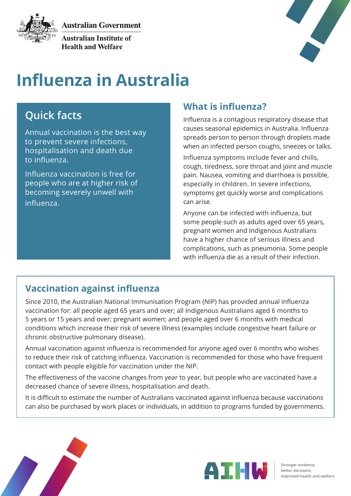**Australian Government** 



**Australian Institute of Health and Welfare** 



# **Influenza in Australia**

# **Quick facts**

Annual vaccination is the best way to prevent severe infections, hospitalisation and death due to influenza.

Influenza vaccination is free for people who are at higher risk of becoming severely unwell with influenza.

### **What is influenza?**

Influenza is a contagious respiratory disease that causes seasonal epidemics in Australia. Influenza spreads person to person through droplets made when an infected person coughs, sneezes or talks.

Influenza symptoms include fever and chills, cough, tiredness, sore throat and joint and muscle pain. Nausea, vomiting and diarrhoea is possible, especially in children. In severe infections, symptoms get quickly worse and complications can arise.

Anyone can be infected with influenza, but some people such as adults aged over 65 years, pregnant women and Indigenous Australians have a higher chance of serious illness and complications, such as pneumonia. Some people with influenza die as a result of their infection.

## **Vaccination against influenza**

Since 2010, the Australian National Immunisation Program (NIP) has provided annual influenza vaccination for: all people aged 65 years and over; all Indigenous Australians aged 6 months to 5 years or 15 years and over; pregnant women; and people aged over 6 months with medical conditions which increase their risk of severe illness (examples include congestive heart failure or chronic obstructive pulmonary disease).

Annual vaccination against influenza is recommended for anyone aged over 6 months who wishes to reduce their risk of catching influenza. Vaccination is recommended for those who have frequent contact with people eligible for vaccination under the NIP.

The effectiveness of the vaccine changes from year to year, but people who are vaccinated have a decreased chance of severe illness, hospitalisation and death.

It is difficult to estimate the number of Australians vaccinated against influenza because vaccinations can also be purchased by work places or individuals, in addition to programs funded by governments.